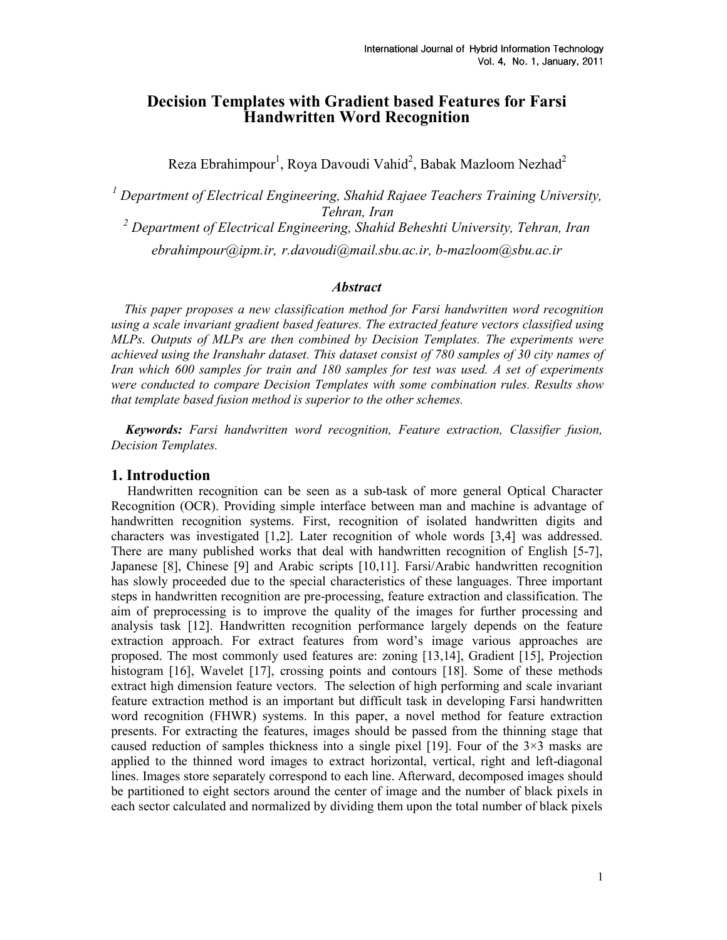# Decision Templates with Gradient based Features for Farsi Handwritten Word Recognition

Reza Ebrahimpour<sup>1</sup>, Roya Davoudi Vahid<sup>2</sup>, Babak Mazloom Nezhad<sup>2</sup>

<sup>1</sup> Department of Electrical Engineering, Shahid Rajaee Teachers Training University, Tehran, Iran

 $^2$  Department of Electrical Engineering, Shahid Beheshti University, Tehran, Iran

ebrahimpour@ipm.ir, r.davoudi@mail.sbu.ac.ir, b-mazloom@sbu.ac.ir

## **Abstract**

 This paper proposes a new classification method for Farsi handwritten word recognition using a scale invariant gradient based features. The extracted feature vectors classified using MLPs. Outputs of MLPs are then combined by Decision Templates. The experiments were achieved using the Iranshahr dataset. This dataset consist of 780 samples of 30 city names of Iran which 600 samples for train and 180 samples for test was used. A set of experiments were conducted to compare Decision Templates with some combination rules. Results show that template based fusion method is superior to the other schemes.

Keywords: Farsi handwritten word recognition, Feature extraction, Classifier fusion, Decision Templates.

### 1. Introduction

 Handwritten recognition can be seen as a sub-task of more general Optical Character Recognition (OCR). Providing simple interface between man and machine is advantage of handwritten recognition systems. First, recognition of isolated handwritten digits and characters was investigated [1,2]. Later recognition of whole words [3,4] was addressed. There are many published works that deal with handwritten recognition of English [5-7], Japanese [8], Chinese [9] and Arabic scripts [10,11]. Farsi/Arabic handwritten recognition has slowly proceeded due to the special characteristics of these languages. Three important steps in handwritten recognition are pre-processing, feature extraction and classification. The aim of preprocessing is to improve the quality of the images for further processing and analysis task [12]. Handwritten recognition performance largely depends on the feature extraction approach. For extract features from word's image various approaches are proposed. The most commonly used features are: zoning [13,14], Gradient [15], Projection histogram [16], Wavelet [17], crossing points and contours [18]. Some of these methods extract high dimension feature vectors. The selection of high performing and scale invariant feature extraction method is an important but difficult task in developing Farsi handwritten word recognition (FHWR) systems. In this paper, a novel method for feature extraction presents. For extracting the features, images should be passed from the thinning stage that caused reduction of samples thickness into a single pixel [19]. Four of the  $3\times3$  masks are applied to the thinned word images to extract horizontal, vertical, right and left-diagonal lines. Images store separately correspond to each line. Afterward, decomposed images should be partitioned to eight sectors around the center of image and the number of black pixels in each sector calculated and normalized by dividing them upon the total number of black pixels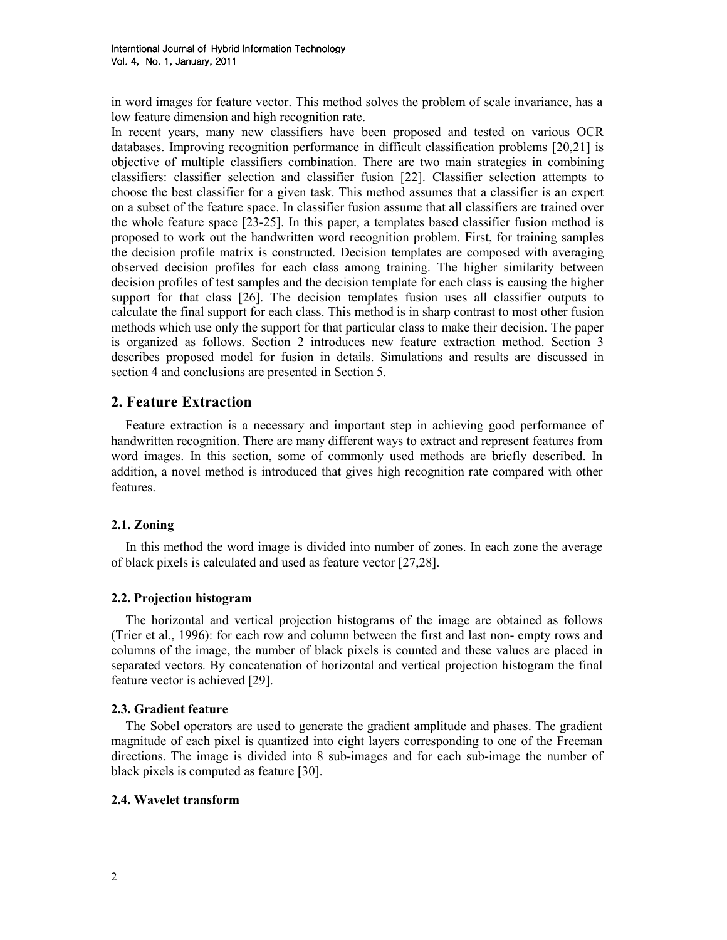in word images for feature vector. This method solves the problem of scale invariance, has a low feature dimension and high recognition rate.

In recent years, many new classifiers have been proposed and tested on various OCR databases. Improving recognition performance in difficult classification problems [20,21] is objective of multiple classifiers combination. There are two main strategies in combining classifiers: classifier selection and classifier fusion [22]. Classifier selection attempts to choose the best classifier for a given task. This method assumes that a classifier is an expert on a subset of the feature space. In classifier fusion assume that all classifiers are trained over the whole feature space [23-25]. In this paper, a templates based classifier fusion method is proposed to work out the handwritten word recognition problem. First, for training samples the decision profile matrix is constructed. Decision templates are composed with averaging observed decision profiles for each class among training. The higher similarity between decision profiles of test samples and the decision template for each class is causing the higher support for that class [26]. The decision templates fusion uses all classifier outputs to calculate the final support for each class. This method is in sharp contrast to most other fusion methods which use only the support for that particular class to make their decision. The paper is organized as follows. Section 2 introduces new feature extraction method. Section 3 describes proposed model for fusion in details. Simulations and results are discussed in section 4 and conclusions are presented in Section 5.

# 2. Feature Extraction

Feature extraction is a necessary and important step in achieving good performance of handwritten recognition. There are many different ways to extract and represent features from word images. In this section, some of commonly used methods are briefly described. In addition, a novel method is introduced that gives high recognition rate compared with other features.

## 2.1. Zoning

 In this method the word image is divided into number of zones. In each zone the average of black pixels is calculated and used as feature vector [27,28].

## 2.2. Projection histogram

 The horizontal and vertical projection histograms of the image are obtained as follows (Trier et al., 1996): for each row and column between the first and last non- empty rows and columns of the image, the number of black pixels is counted and these values are placed in separated vectors. By concatenation of horizontal and vertical projection histogram the final feature vector is achieved [29].

## 2.3. Gradient feature

 The Sobel operators are used to generate the gradient amplitude and phases. The gradient magnitude of each pixel is quantized into eight layers corresponding to one of the Freeman directions. The image is divided into 8 sub-images and for each sub-image the number of black pixels is computed as feature [30].

## 2.4. Wavelet transform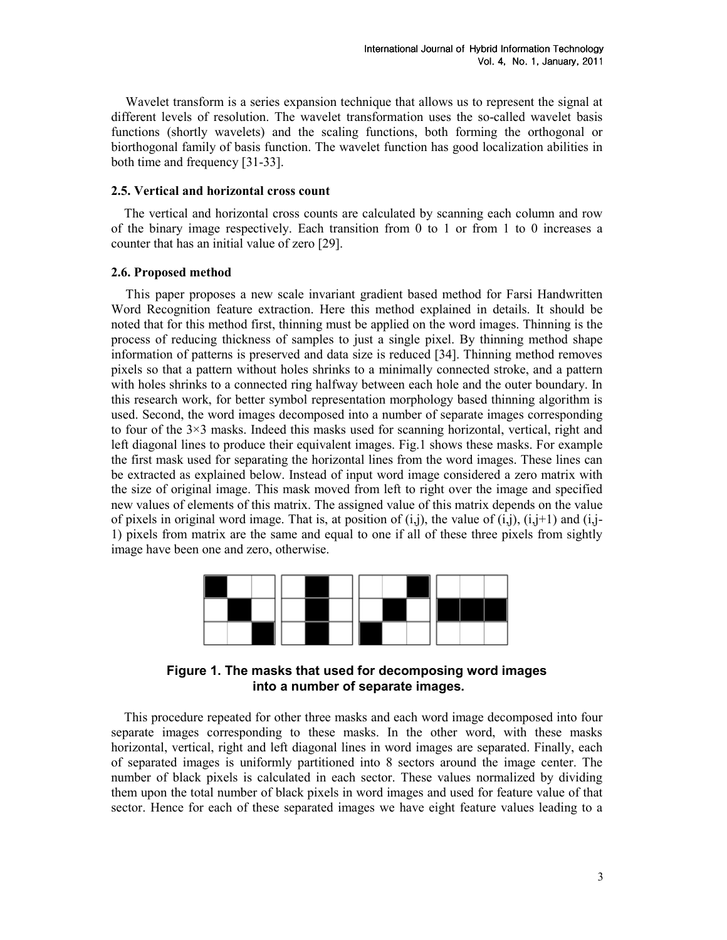Wavelet transform is a series expansion technique that allows us to represent the signal at different levels of resolution. The wavelet transformation uses the so-called wavelet basis functions (shortly wavelets) and the scaling functions, both forming the orthogonal or biorthogonal family of basis function. The wavelet function has good localization abilities in both time and frequency [31-33].

#### 2.5. Vertical and horizontal cross count

 The vertical and horizontal cross counts are calculated by scanning each column and row of the binary image respectively. Each transition from 0 to 1 or from 1 to 0 increases a counter that has an initial value of zero [29].

#### 2.6. Proposed method

 This paper proposes a new scale invariant gradient based method for Farsi Handwritten Word Recognition feature extraction. Here this method explained in details. It should be noted that for this method first, thinning must be applied on the word images. Thinning is the process of reducing thickness of samples to just a single pixel. By thinning method shape information of patterns is preserved and data size is reduced [34]. Thinning method removes pixels so that a pattern without holes shrinks to a minimally connected stroke, and a pattern with holes shrinks to a connected ring halfway between each hole and the outer boundary. In this research work, for better symbol representation morphology based thinning algorithm is used. Second, the word images decomposed into a number of separate images corresponding to four of the 3×3 masks. Indeed this masks used for scanning horizontal, vertical, right and left diagonal lines to produce their equivalent images. Fig.1 shows these masks. For example the first mask used for separating the horizontal lines from the word images. These lines can be extracted as explained below. Instead of input word image considered a zero matrix with the size of original image. This mask moved from left to right over the image and specified new values of elements of this matrix. The assigned value of this matrix depends on the value of pixels in original word image. That is, at position of  $(i,j)$ , the value of  $(i,j)$ ,  $(i,j+1)$  and  $(i,j-1)$ 1) pixels from matrix are the same and equal to one if all of these three pixels from sightly image have been one and zero, otherwise.



Figure 1. The masks that used for decomposing word images into a number of separate images.

 This procedure repeated for other three masks and each word image decomposed into four separate images corresponding to these masks. In the other word, with these masks horizontal, vertical, right and left diagonal lines in word images are separated. Finally, each of separated images is uniformly partitioned into 8 sectors around the image center. The number of black pixels is calculated in each sector. These values normalized by dividing them upon the total number of black pixels in word images and used for feature value of that sector. Hence for each of these separated images we have eight feature values leading to a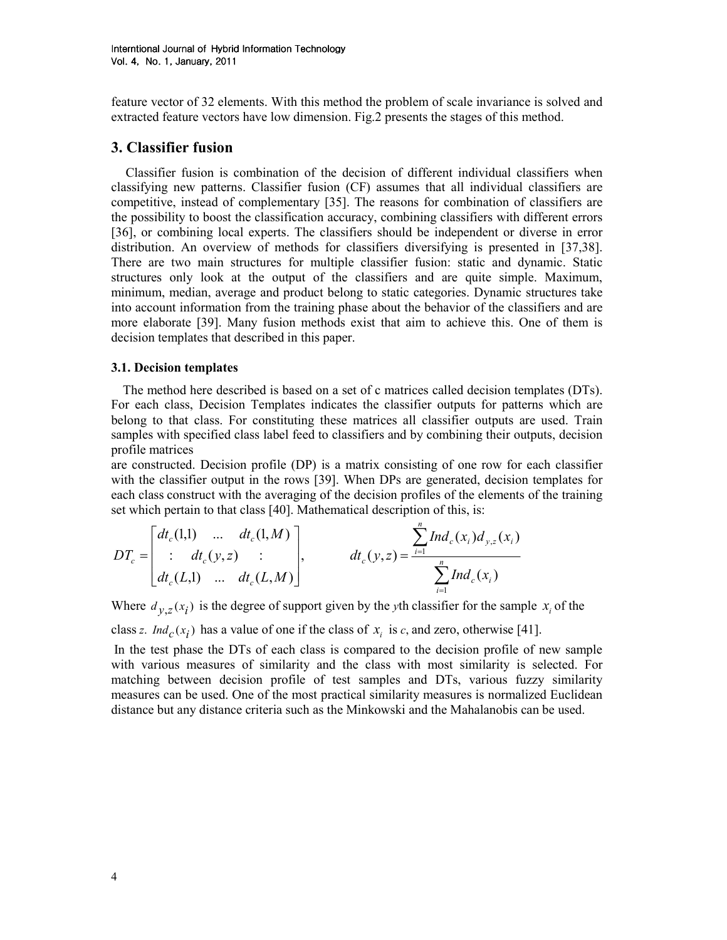feature vector of 32 elements. With this method the problem of scale invariance is solved and extracted feature vectors have low dimension. Fig.2 presents the stages of this method.

# 3. Classifier fusion

 Classifier fusion is combination of the decision of different individual classifiers when classifying new patterns. Classifier fusion (CF) assumes that all individual classifiers are competitive, instead of complementary [35]. The reasons for combination of classifiers are the possibility to boost the classification accuracy, combining classifiers with different errors [36], or combining local experts. The classifiers should be independent or diverse in error distribution. An overview of methods for classifiers diversifying is presented in [37,38]. There are two main structures for multiple classifier fusion: static and dynamic. Static structures only look at the output of the classifiers and are quite simple. Maximum, minimum, median, average and product belong to static categories. Dynamic structures take into account information from the training phase about the behavior of the classifiers and are more elaborate [39]. Many fusion methods exist that aim to achieve this. One of them is decision templates that described in this paper.

### 3.1. Decision templates

 The method here described is based on a set of c matrices called decision templates (DTs). For each class, Decision Templates indicates the classifier outputs for patterns which are belong to that class. For constituting these matrices all classifier outputs are used. Train samples with specified class label feed to classifiers and by combining their outputs, decision profile matrices

are constructed. Decision profile (DP) is a matrix consisting of one row for each classifier with the classifier output in the rows [39]. When DPs are generated, decision templates for each class construct with the averaging of the decision profiles of the elements of the training set which pertain to that class [40]. Mathematical description of this, is:

$$
DT_c = \begin{bmatrix} dt_c(1,1) & \dots & dt_c(1,M) \\ \vdots & dt_c(y,z) & \vdots \\ dt_c(L,1) & \dots & dt_c(L,M) \end{bmatrix}, \qquad dt_c(y,z) = \frac{\sum_{i=1}^n Ind_c(x_i) d_{y,z}(x_i)}{\sum_{i=1}^n Ind_c(x_i)}
$$

Where  $d_{y,z}(x_i)$  is the degree of support given by the yth classifier for the sample  $x_i$  of the

class z.  $Ind_c(x_i)$  has a value of one if the class of  $x_i$  is c, and zero, otherwise [41].

In the test phase the DTs of each class is compared to the decision profile of new sample with various measures of similarity and the class with most similarity is selected. For matching between decision profile of test samples and DTs, various fuzzy similarity measures can be used. One of the most practical similarity measures is normalized Euclidean distance but any distance criteria such as the Minkowski and the Mahalanobis can be used.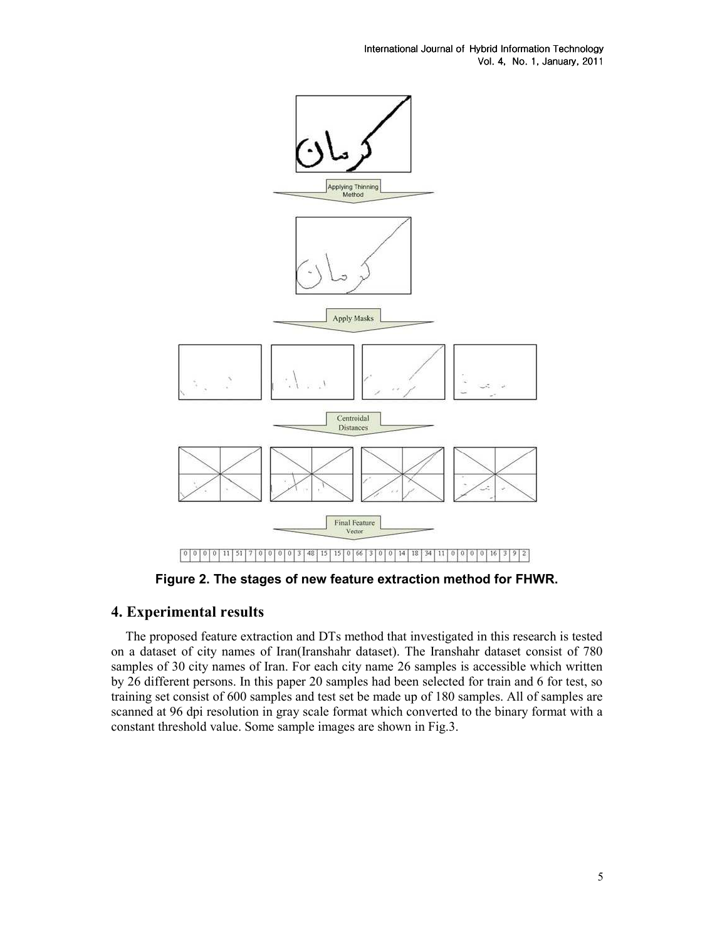International Journal of Hybrid Information Technology Vol. 4, Vol. 4, No. 1, January, 2011 2011



Figure 2. The stages of new feature extraction method for FHWR.

# 4. Experimental results

 The proposed feature extraction and DTs method that investigated in this research is tested on a dataset of city names of Iran(Iranshahr dataset). The Iranshahr dataset consist of 780 samples of 30 city names of Iran. For each city name 26 samples is accessible which written by 26 different persons. In this paper 20 samples had been selected for train and 6 for test, so training set consist of 600 samples and test set be made up of 180 samples. All of samples are scanned at 96 dpi resolution in gray scale format which converted to the binary format with a constant threshold value. Some sample images are shown in Fig.3.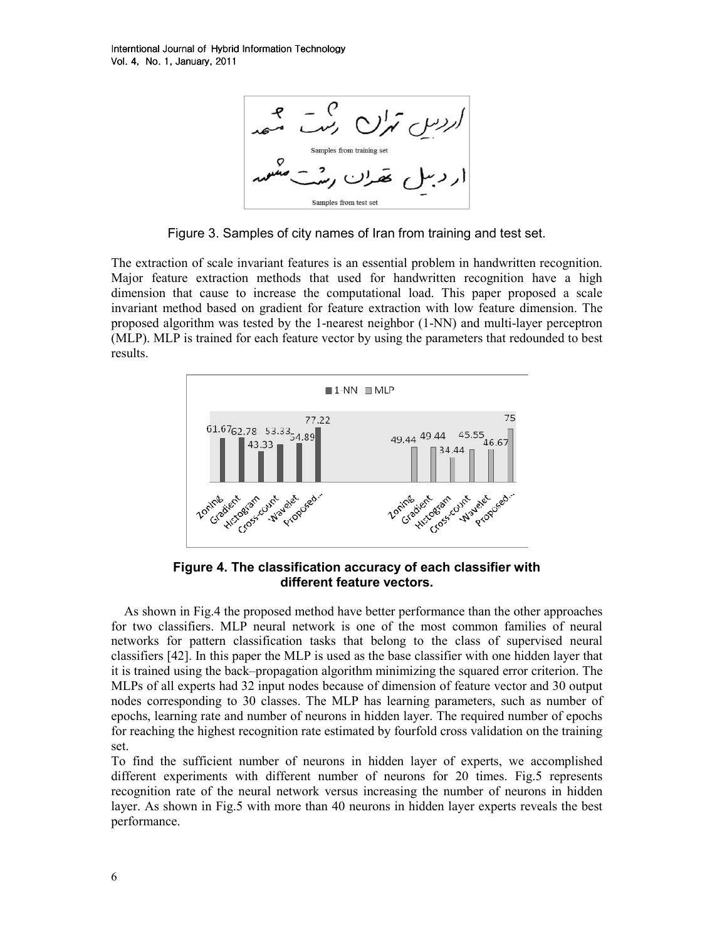

Figure 3. Samples of city names of Iran from training and test set.

The extraction of scale invariant features is an essential problem in handwritten recognition. Major feature extraction methods that used for handwritten recognition have a high dimension that cause to increase the computational load. This paper proposed a scale invariant method based on gradient for feature extraction with low feature dimension. The proposed algorithm was tested by the 1-nearest neighbor (1-NN) and multi-layer perceptron (MLP). MLP is trained for each feature vector by using the parameters that redounded to best results.



Figure 4. The classification accuracy of each classifier with different feature vectors.

 As shown in Fig.4 the proposed method have better performance than the other approaches for two classifiers. MLP neural network is one of the most common families of neural networks for pattern classification tasks that belong to the class of supervised neural classifiers [42]. In this paper the MLP is used as the base classifier with one hidden layer that it is trained using the back–propagation algorithm minimizing the squared error criterion. The MLPs of all experts had 32 input nodes because of dimension of feature vector and 30 output nodes corresponding to 30 classes. The MLP has learning parameters, such as number of epochs, learning rate and number of neurons in hidden layer. The required number of epochs for reaching the highest recognition rate estimated by fourfold cross validation on the training set.

To find the sufficient number of neurons in hidden layer of experts, we accomplished different experiments with different number of neurons for 20 times. Fig.5 represents recognition rate of the neural network versus increasing the number of neurons in hidden layer. As shown in Fig.5 with more than 40 neurons in hidden layer experts reveals the best performance.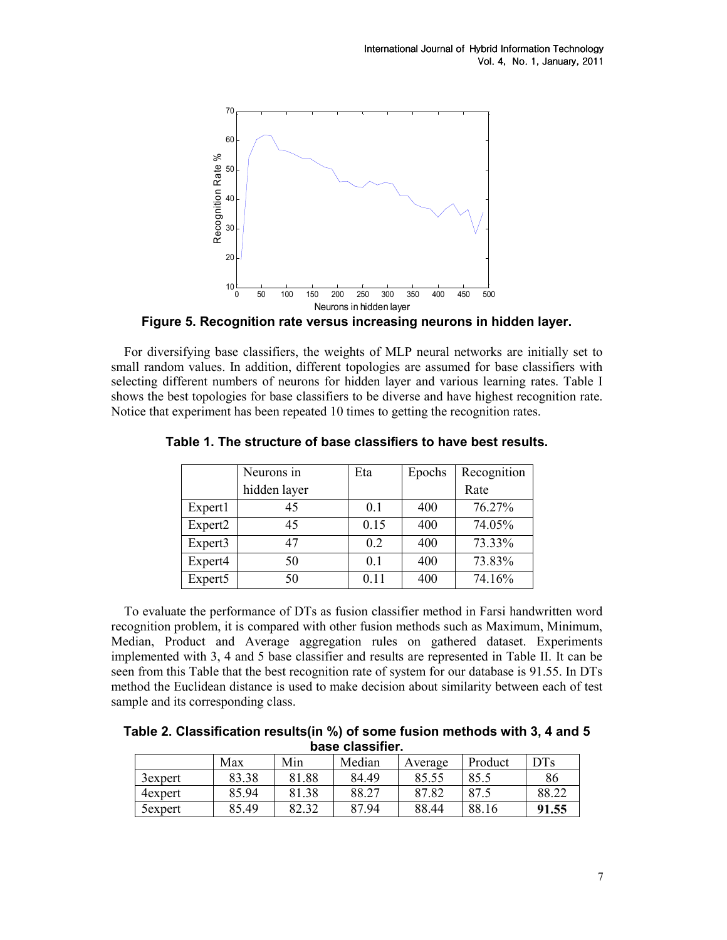

Figure 5. Recognition rate versus increasing neurons in hidden layer.

 For diversifying base classifiers, the weights of MLP neural networks are initially set to small random values. In addition, different topologies are assumed for base classifiers with selecting different numbers of neurons for hidden layer and various learning rates. Table I shows the best topologies for base classifiers to be diverse and have highest recognition rate. Notice that experiment has been repeated 10 times to getting the recognition rates.

|                     | Neurons in   | Eta            | Epochs | Recognition |  |
|---------------------|--------------|----------------|--------|-------------|--|
|                     | hidden layer |                |        | Rate        |  |
| Expert1             | 45           | 0 <sub>1</sub> | 400    | 76.27%      |  |
| Expert <sub>2</sub> | 45           | 0.15           | 400    | 74.05%      |  |
| Expert3             | 47           | 0.2            | 400    | 73.33%      |  |
| Expert4             | 50           | 0.1            | 400    | 73.83%      |  |
| Expert5             | 50           | 0.11           | 400    | 74.16%      |  |

Table 1. The structure of base classifiers to have best results.

 To evaluate the performance of DTs as fusion classifier method in Farsi handwritten word recognition problem, it is compared with other fusion methods such as Maximum, Minimum, Median, Product and Average aggregation rules on gathered dataset. Experiments implemented with 3, 4 and 5 base classifier and results are represented in Table II. It can be seen from this Table that the best recognition rate of system for our database is 91.55. In DTs method the Euclidean distance is used to make decision about similarity between each of test sample and its corresponding class.

Table 2. Classification results(in %) of some fusion methods with 3, 4 and 5 base classifier.

|         | Max   | Min   | Median | Average | Product | <b>DTs</b> |
|---------|-------|-------|--------|---------|---------|------------|
| 3expert | 83.38 | 81.88 | 84.49  | 85.55   | 85.5    | 86         |
| 4expert | 85.94 | 81.38 | 88.27  | 87.82   | 87.5    | 88.22      |
| 5expert | 85.49 | 82.32 | 87.94  | 88.44   | 88.16   | 91.55      |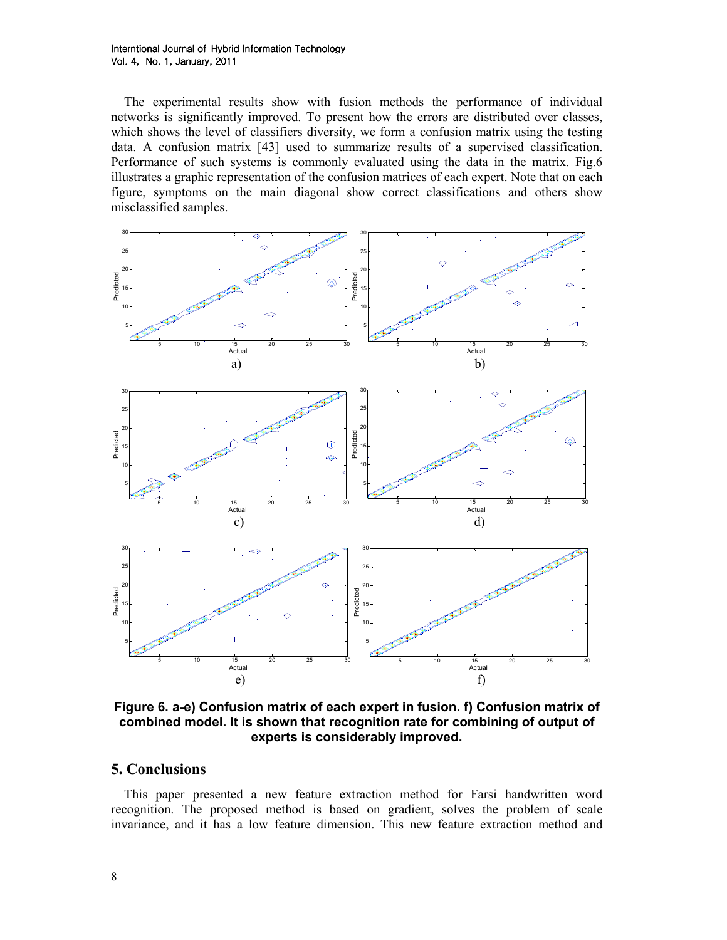The experimental results show with fusion methods the performance of individual networks is significantly improved. To present how the errors are distributed over classes, which shows the level of classifiers diversity, we form a confusion matrix using the testing data. A confusion matrix [43] used to summarize results of a supervised classification. Performance of such systems is commonly evaluated using the data in the matrix. Fig.6 illustrates a graphic representation of the confusion matrices of each expert. Note that on each figure, symptoms on the main diagonal show correct classifications and others show misclassified samples.



Figure 6. a-e) Confusion matrix of each expert in fusion. f) Confusion matrix of combined model. It is shown that recognition rate for combining of output of experts is considerably improved.

### 5. Conclusions

 This paper presented a new feature extraction method for Farsi handwritten word recognition. The proposed method is based on gradient, solves the problem of scale invariance, and it has a low feature dimension. This new feature extraction method and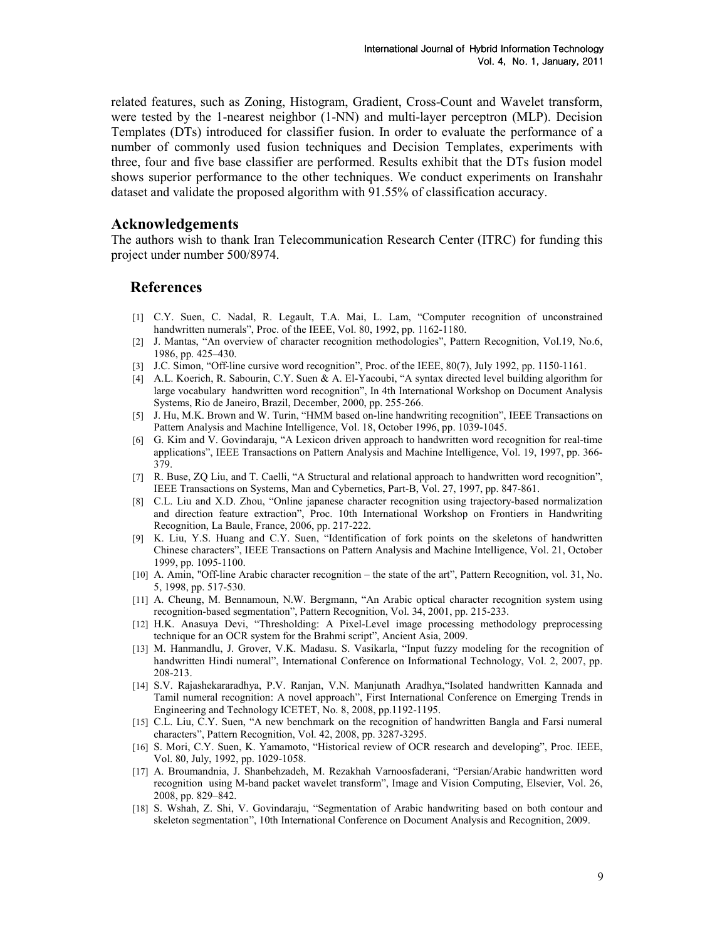related features, such as Zoning, Histogram, Gradient, Cross-Count and Wavelet transform, were tested by the 1-nearest neighbor (1-NN) and multi-layer perceptron (MLP). Decision Templates (DTs) introduced for classifier fusion. In order to evaluate the performance of a number of commonly used fusion techniques and Decision Templates, experiments with three, four and five base classifier are performed. Results exhibit that the DTs fusion model shows superior performance to the other techniques. We conduct experiments on Iranshahr dataset and validate the proposed algorithm with 91.55% of classification accuracy.

### Acknowledgements

The authors wish to thank Iran Telecommunication Research Center (ITRC) for funding this project under number 500/8974.

### References

- [1] C.Y. Suen, C. Nadal, R. Legault, T.A. Mai, L. Lam, "Computer recognition of unconstrained handwritten numerals", Proc. of the IEEE, Vol. 80, 1992, pp. 1162-1180.
- [2] J. Mantas, "An overview of character recognition methodologies", Pattern Recognition, Vol.19, No.6, 1986, pp. 425–430.
- [3] J.C. Simon, "Off-line cursive word recognition", Proc. of the IEEE, 80(7), July 1992, pp. 1150-1161.
- [4] A.L. Koerich, R. Sabourin, C.Y. Suen & A. El-Yacoubi, "A syntax directed level building algorithm for large vocabulary handwritten word recognition", In 4th International Workshop on Document Analysis Systems, Rio de Janeiro, Brazil, December, 2000, pp. 255-266.
- [5] J. Hu, M.K. Brown and W. Turin, "HMM based on-line handwriting recognition", IEEE Transactions on Pattern Analysis and Machine Intelligence, Vol. 18, October 1996, pp. 1039-1045.
- [6] G. Kim and V. Govindaraju, "A Lexicon driven approach to handwritten word recognition for real-time applications", IEEE Transactions on Pattern Analysis and Machine Intelligence, Vol. 19, 1997, pp. 366- 379.
- [7] R. Buse, ZQ Liu, and T. Caelli, "A Structural and relational approach to handwritten word recognition", IEEE Transactions on Systems, Man and Cybernetics, Part-B, Vol. 27, 1997, pp. 847-861.
- [8] C.L. Liu and X.D. Zhou, "Online japanese character recognition using trajectory-based normalization and direction feature extraction", Proc. 10th International Workshop on Frontiers in Handwriting Recognition, La Baule, France, 2006, pp. 217-222.
- [9] K. Liu, Y.S. Huang and C.Y. Suen, "Identification of fork points on the skeletons of handwritten Chinese characters", IEEE Transactions on Pattern Analysis and Machine Intelligence, Vol. 21, October 1999, pp. 1095-1100.
- [10] A. Amin, "Off-line Arabic character recognition the state of the art", Pattern Recognition, vol. 31, No. 5, 1998, pp. 517-530.
- [11] A. Cheung, M. Bennamoun, N.W. Bergmann, "An Arabic optical character recognition system using recognition-based segmentation", Pattern Recognition, Vol. 34, 2001, pp. 215-233.
- [12] H.K. Anasuya Devi, "Thresholding: A Pixel-Level image processing methodology preprocessing technique for an OCR system for the Brahmi script", Ancient Asia, 2009.
- [13] M. Hanmandlu, J. Grover, V.K. Madasu. S. Vasikarla, "Input fuzzy modeling for the recognition of handwritten Hindi numeral", International Conference on Informational Technology, Vol. 2, 2007, pp. 208-213.
- [14] S.V. Rajashekararadhya, P.V. Ranjan, V.N. Manjunath Aradhya,"Isolated handwritten Kannada and Tamil numeral recognition: A novel approach", First International Conference on Emerging Trends in Engineering and Technology ICETET, No. 8, 2008, pp.1192-1195.
- [15] C.L. Liu, C.Y. Suen, "A new benchmark on the recognition of handwritten Bangla and Farsi numeral characters", Pattern Recognition, Vol. 42, 2008, pp. 3287-3295.
- [16] S. Mori, C.Y. Suen, K. Yamamoto, "Historical review of OCR research and developing", Proc. IEEE, Vol. 80, July, 1992, pp. 1029-1058.
- [17] A. Broumandnia, J. Shanbehzadeh, M. Rezakhah Varnoosfaderani, "Persian/Arabic handwritten word recognition using M-band packet wavelet transform", Image and Vision Computing, Elsevier, Vol. 26, 2008, pp. 829–842.
- [18] S. Wshah, Z. Shi, V. Govindaraju, "Segmentation of Arabic handwriting based on both contour and skeleton segmentation", 10th International Conference on Document Analysis and Recognition, 2009.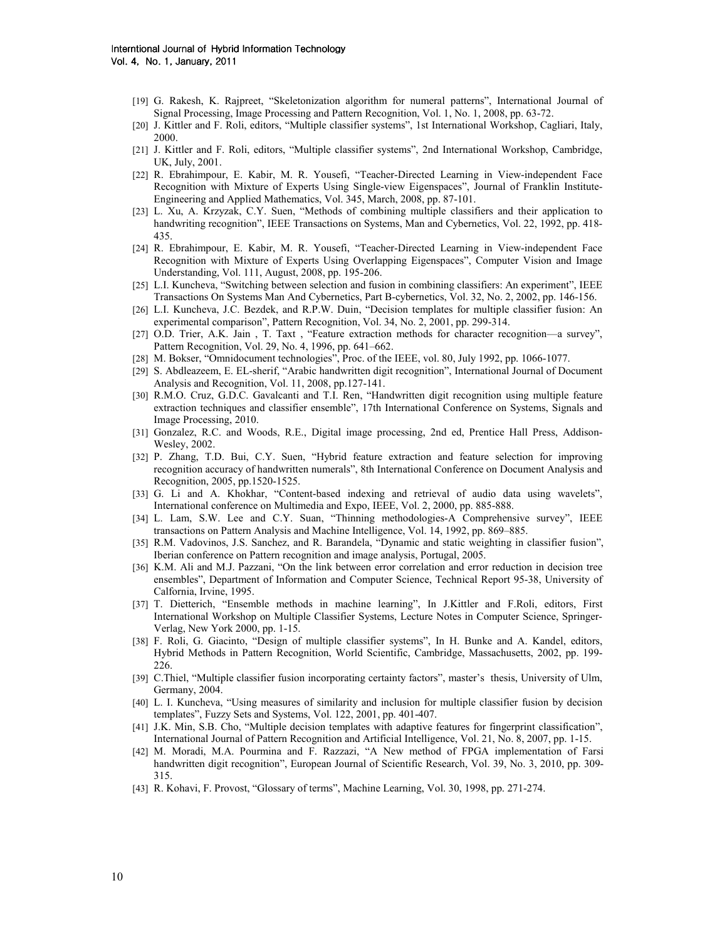- [19] G. Rakesh, K. Rajpreet, "Skeletonization algorithm for numeral patterns", International Journal of Signal Processing, Image Processing and Pattern Recognition, Vol. 1, No. 1, 2008, pp. 63-72.
- [20] J. Kittler and F. Roli, editors, "Multiple classifier systems", 1st International Workshop, Cagliari, Italy, 2000.
- [21] J. Kittler and F. Roli, editors, "Multiple classifier systems", 2nd International Workshop, Cambridge, UK, July, 2001.
- [22] R. Ebrahimpour, E. Kabir, M. R. Yousefi, "Teacher-Directed Learning in View-independent Face Recognition with Mixture of Experts Using Single-view Eigenspaces", Journal of Franklin Institute-Engineering and Applied Mathematics, Vol. 345, March, 2008, pp. 87-101.
- [23] L. Xu, A. Krzyzak, C.Y. Suen, "Methods of combining multiple classifiers and their application to handwriting recognition", IEEE Transactions on Systems, Man and Cybernetics, Vol. 22, 1992, pp. 418- 435.
- [24] R. Ebrahimpour, E. Kabir, M. R. Yousefi, "Teacher-Directed Learning in View-independent Face Recognition with Mixture of Experts Using Overlapping Eigenspaces", Computer Vision and Image Understanding, Vol. 111, August, 2008, pp. 195-206.
- [25] L.I. Kuncheva, "Switching between selection and fusion in combining classifiers: An experiment", IEEE Transactions On Systems Man And Cybernetics, Part B-cybernetics, Vol. 32, No. 2, 2002, pp. 146-156.
- [26] L.I. Kuncheva, J.C. Bezdek, and R.P.W. Duin, "Decision templates for multiple classifier fusion: An experimental comparison", Pattern Recognition, Vol. 34, No. 2, 2001, pp. 299-314.
- [27] O.D. Trier, A.K. Jain , T. Taxt , "Feature extraction methods for character recognition—a survey", Pattern Recognition, Vol. 29, No. 4, 1996, pp. 641–662.
- [28] M. Bokser, "Omnidocument technologies", Proc. of the IEEE, vol. 80, July 1992, pp. 1066-1077.
- [29] S. Abdleazeem, E. EL-sherif, "Arabic handwritten digit recognition", International Journal of Document Analysis and Recognition, Vol. 11, 2008, pp.127-141.
- [30] R.M.O. Cruz, G.D.C. Gavalcanti and T.I. Ren, "Handwritten digit recognition using multiple feature extraction techniques and classifier ensemble", 17th International Conference on Systems, Signals and Image Processing, 2010.
- [31] Gonzalez, R.C. and Woods, R.E., Digital image processing, 2nd ed, Prentice Hall Press, Addison-Wesley, 2002.
- [32] P. Zhang, T.D. Bui, C.Y. Suen, "Hybrid feature extraction and feature selection for improving recognition accuracy of handwritten numerals", 8th International Conference on Document Analysis and Recognition, 2005, pp.1520-1525.
- [33] G. Li and A. Khokhar, "Content-based indexing and retrieval of audio data using wavelets", International conference on Multimedia and Expo, IEEE, Vol. 2, 2000, pp. 885-888.
- [34] L. Lam, S.W. Lee and C.Y. Suan, "Thinning methodologies-A Comprehensive survey", IEEE transactions on Pattern Analysis and Machine Intelligence, Vol. 14, 1992, pp. 869–885.
- [35] R.M. Vadovinos, J.S. Sanchez, and R. Barandela, "Dynamic and static weighting in classifier fusion", Iberian conference on Pattern recognition and image analysis, Portugal, 2005.
- [36] K.M. Ali and M.J. Pazzani, "On the link between error correlation and error reduction in decision tree ensembles", Department of Information and Computer Science, Technical Report 95-38, University of Calfornia, Irvine, 1995.
- [37] T. Dietterich, "Ensemble methods in machine learning", In J.Kittler and F.Roli, editors, First International Workshop on Multiple Classifier Systems, Lecture Notes in Computer Science, Springer-Verlag, New York 2000, pp. 1-15.
- [38] F. Roli, G. Giacinto, "Design of multiple classifier systems", In H. Bunke and A. Kandel, editors, Hybrid Methods in Pattern Recognition, World Scientific, Cambridge, Massachusetts, 2002, pp. 199- 226.
- [39] C.Thiel, "Multiple classifier fusion incorporating certainty factors", master's thesis, University of Ulm, Germany, 2004.
- [40] L. I. Kuncheva, "Using measures of similarity and inclusion for multiple classifier fusion by decision templates", Fuzzy Sets and Systems, Vol. 122, 2001, pp. 401-407.
- [41] J.K. Min, S.B. Cho, "Multiple decision templates with adaptive features for fingerprint classification", International Journal of Pattern Recognition and Artificial Intelligence, Vol. 21, No. 8, 2007, pp. 1-15.
- [42] M. Moradi, M.A. Pourmina and F. Razzazi, "A New method of FPGA implementation of Farsi handwritten digit recognition", European Journal of Scientific Research, Vol. 39, No. 3, 2010, pp. 309- 315.
- [43] R. Kohavi, F. Provost, "Glossary of terms", Machine Learning, Vol. 30, 1998, pp. 271-274.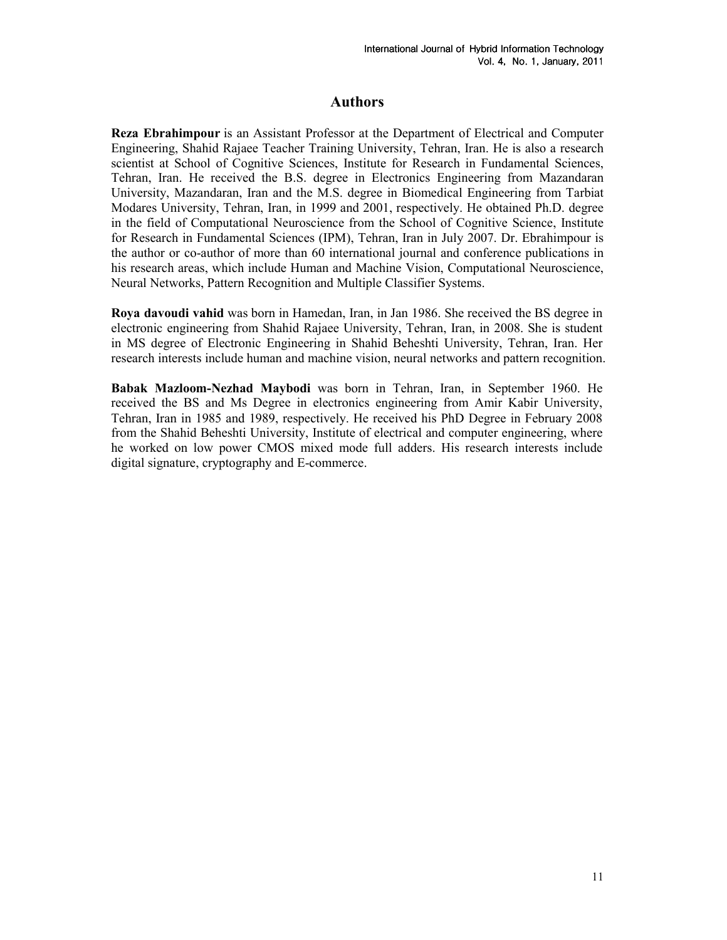# Authors

Reza Ebrahimpour is an Assistant Professor at the Department of Electrical and Computer Engineering, Shahid Rajaee Teacher Training University, Tehran, Iran. He is also a research scientist at School of Cognitive Sciences, Institute for Research in Fundamental Sciences, Tehran, Iran. He received the B.S. degree in Electronics Engineering from Mazandaran University, Mazandaran, Iran and the M.S. degree in Biomedical Engineering from Tarbiat Modares University, Tehran, Iran, in 1999 and 2001, respectively. He obtained Ph.D. degree in the field of Computational Neuroscience from the School of Cognitive Science, Institute for Research in Fundamental Sciences (IPM), Tehran, Iran in July 2007. Dr. Ebrahimpour is the author or co-author of more than 60 international journal and conference publications in his research areas, which include Human and Machine Vision, Computational Neuroscience, Neural Networks, Pattern Recognition and Multiple Classifier Systems.

Roya davoudi vahid was born in Hamedan, Iran, in Jan 1986. She received the BS degree in electronic engineering from Shahid Rajaee University, Tehran, Iran, in 2008. She is student in MS degree of Electronic Engineering in Shahid Beheshti University, Tehran, Iran. Her research interests include human and machine vision, neural networks and pattern recognition.

Babak Mazloom-Nezhad Maybodi was born in Tehran, Iran, in September 1960. He received the BS and Ms Degree in electronics engineering from Amir Kabir University, Tehran, Iran in 1985 and 1989, respectively. He received his PhD Degree in February 2008 from the Shahid Beheshti University, Institute of electrical and computer engineering, where he worked on low power CMOS mixed mode full adders. His research interests include digital signature, cryptography and E-commerce.